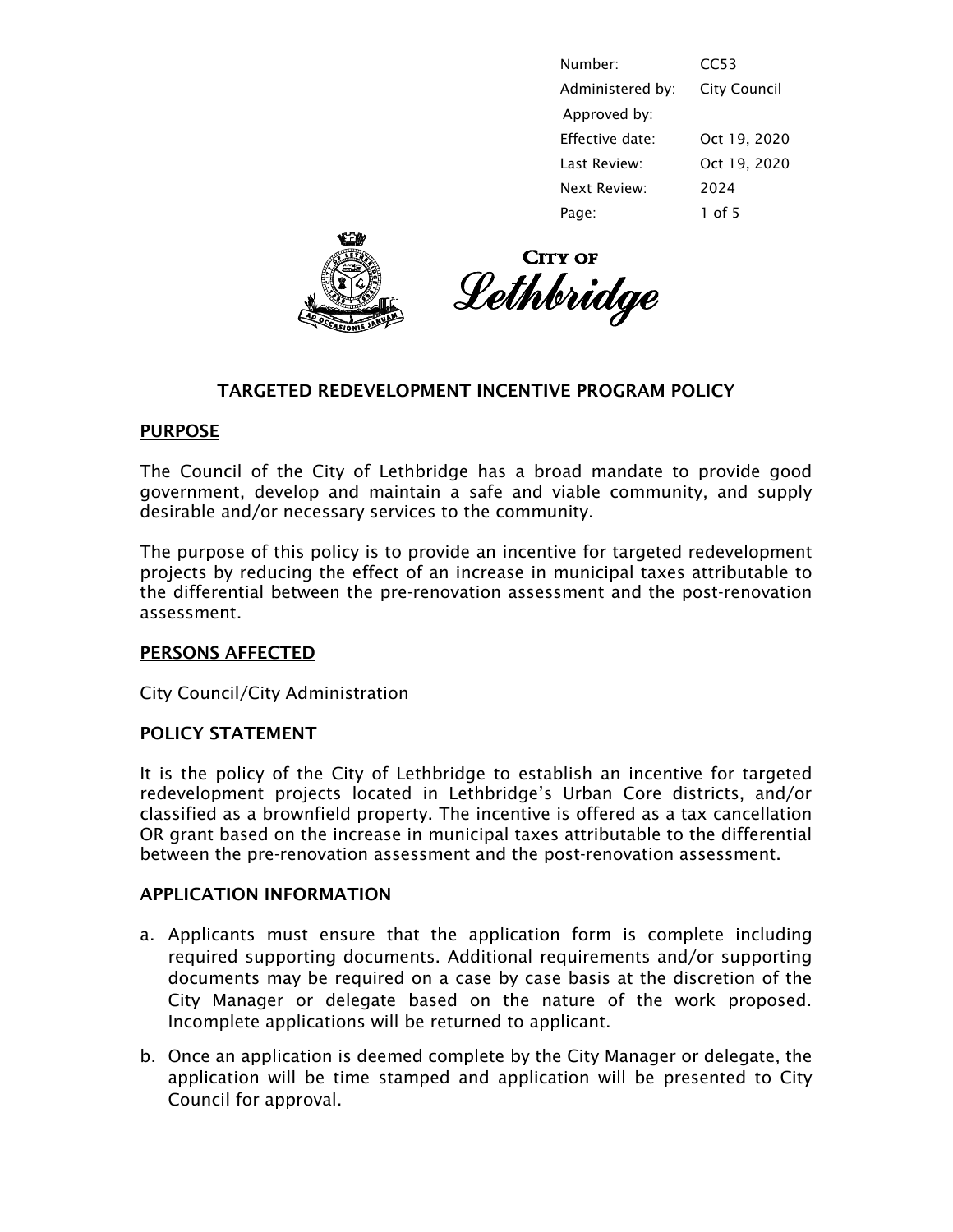| Number:          | CC53                |
|------------------|---------------------|
| Administered by: | <b>City Council</b> |
| Approved by:     |                     |
| Effective date:  | Oct 19, 2020        |
| Last Review:     | Oct 19, 2020        |
| Next Review:     | 2024                |
| Page:            | $1$ of 5            |





# TARGETED REDEVELOPMENT INCENTIVE PROGRAM POLICY

#### PURPOSE

The Council of the City of Lethbridge has a broad mandate to provide good government, develop and maintain a safe and viable community, and supply desirable and/or necessary services to the community.

The purpose of this policy is to provide an incentive for targeted redevelopment projects by reducing the effect of an increase in municipal taxes attributable to the differential between the pre-renovation assessment and the post-renovation assessment.

## PERSONS AFFECTED

City Council/City Administration

## POLICY STATEMENT

It is the policy of the City of Lethbridge to establish an incentive for targeted redevelopment projects located in Lethbridge's Urban Core districts, and/or classified as a brownfield property. The incentive is offered as a tax cancellation OR grant based on the increase in municipal taxes attributable to the differential between the pre-renovation assessment and the post-renovation assessment.

#### APPLICATION INFORMATION

- a. Applicants must ensure that the application form is complete including required supporting documents. Additional requirements and/or supporting documents may be required on a case by case basis at the discretion of the City Manager or delegate based on the nature of the work proposed. Incomplete applications will be returned to applicant.
- b. Once an application is deemed complete by the City Manager or delegate, the application will be time stamped and application will be presented to City Council for approval.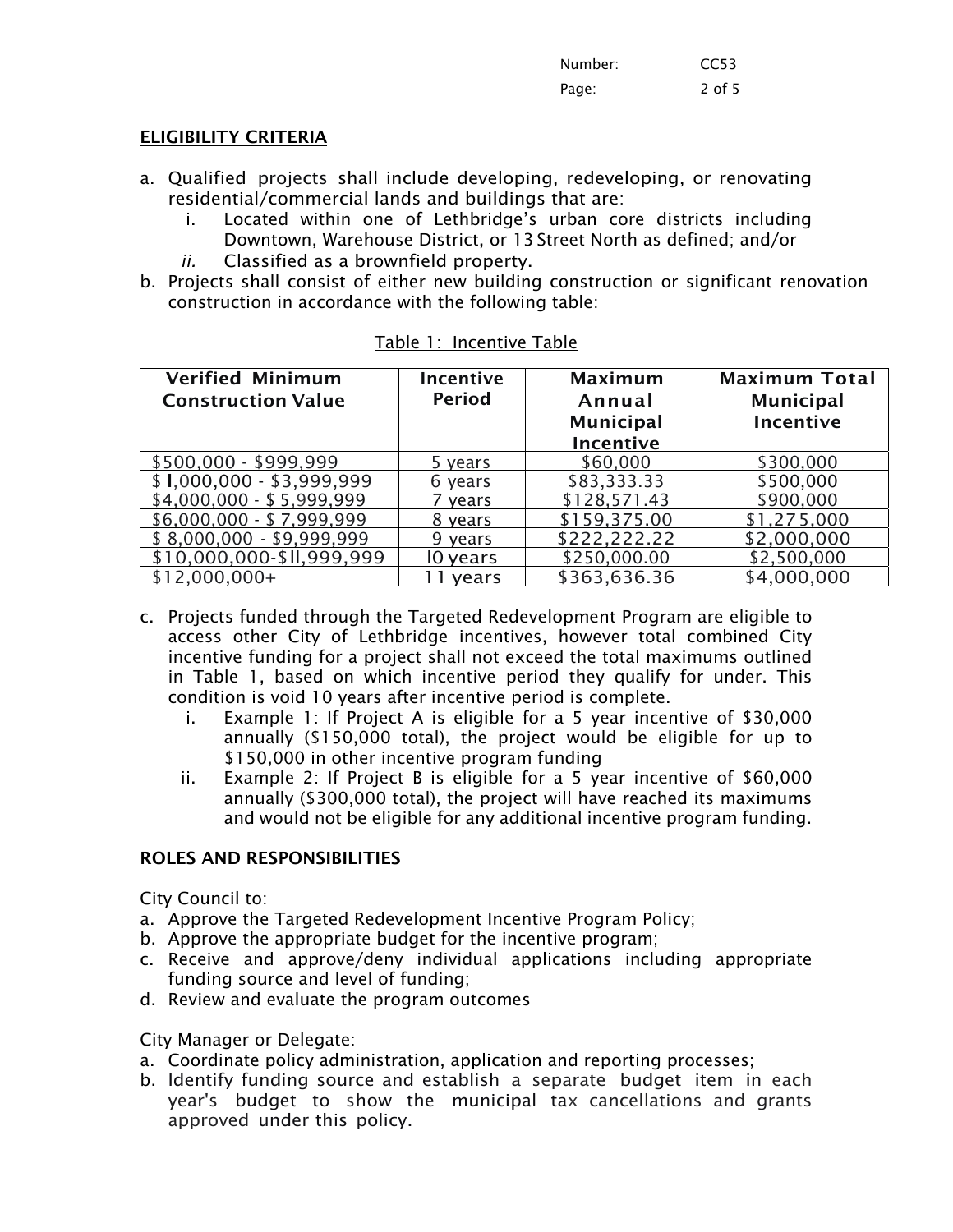| Number: | CC <sub>53</sub> |
|---------|------------------|
| Page:   | 2 of 5           |

## ELIGIBILITY CRITERIA

- a. Qualified projects shall include developing, redeveloping, or renovating residential/commercial lands and buildings that are:
	- i. Located within one of Lethbridge's urban core districts including Downtown, Warehouse District, or 13 Street North as defined; and/or
	- *ii.* Classified as a brownfield property.
- b. Projects shall consist of either new building construction or significant renovation construction in accordance with the following table:

| <b>Verified Minimum</b><br><b>Construction Value</b> | Incentive<br><b>Period</b> | <b>Maximum</b><br>Annual<br><b>Municipal</b><br>Incentive | <b>Maximum Total</b><br><b>Municipal</b><br><b>Incentive</b> |
|------------------------------------------------------|----------------------------|-----------------------------------------------------------|--------------------------------------------------------------|
| \$500,000 - \$999,999                                | 5 years                    | \$60,000                                                  | \$300,000                                                    |
| $$1,000,000 - $3,999,999$                            | 6 years                    | \$83,333.33                                               | \$500,000                                                    |
| $$4,000,000 - $5,999,999$                            | years                      | \$128,571.43                                              | \$900,000                                                    |
| $$6,000,000 - $7,999,999$                            | 8 years                    | \$159,375.00                                              | \$1,275,000                                                  |
| $$8,000,000 - $9,999,999$                            | 9 years                    | \$222,222.22                                              | \$2,000,000                                                  |
| \$10,000,000-\$II,999,999                            | 10 years                   | \$250,000.00                                              | \$2,500,000                                                  |
| $$12,000,000+$                                       | vears                      | \$363,636.36                                              | \$4,000,000                                                  |

| Table 1: Incentive Table |  |  |  |  |
|--------------------------|--|--|--|--|
|--------------------------|--|--|--|--|

- c. Projects funded through the Targeted Redevelopment Program are eligible to access other City of Lethbridge incentives, however total combined City incentive funding for a project shall not exceed the total maximums outlined in Table 1, based on which incentive period they qualify for under. This condition is void 10 years after incentive period is complete.
	- i. Example 1: If Project A is eligible for a 5 year incentive of \$30,000 annually (\$150,000 total), the project would be eligible for up to \$150,000 in other incentive program funding
	- ii. Example 2: If Project B is eligible for a 5 year incentive of \$60,000 annually (\$300,000 total), the project will have reached its maximums and would not be eligible for any additional incentive program funding.

## ROLES AND RESPONSIBILITIES

City Council to:

- a. Approve the Targeted Redevelopment Incentive Program Policy;
- b. Approve the appropriate budget for the incentive program;
- c. Receive and approve/deny individual applications including appropriate funding source and level of funding;
- d. Review and evaluate the program outcomes

City Manager or Delegate:

- a. Coordinate policy administration, application and reporting processes;
- b. Identify funding source and establish a separate budget item in each year's budget to show the municipal tax cancellations and grants approved under this policy.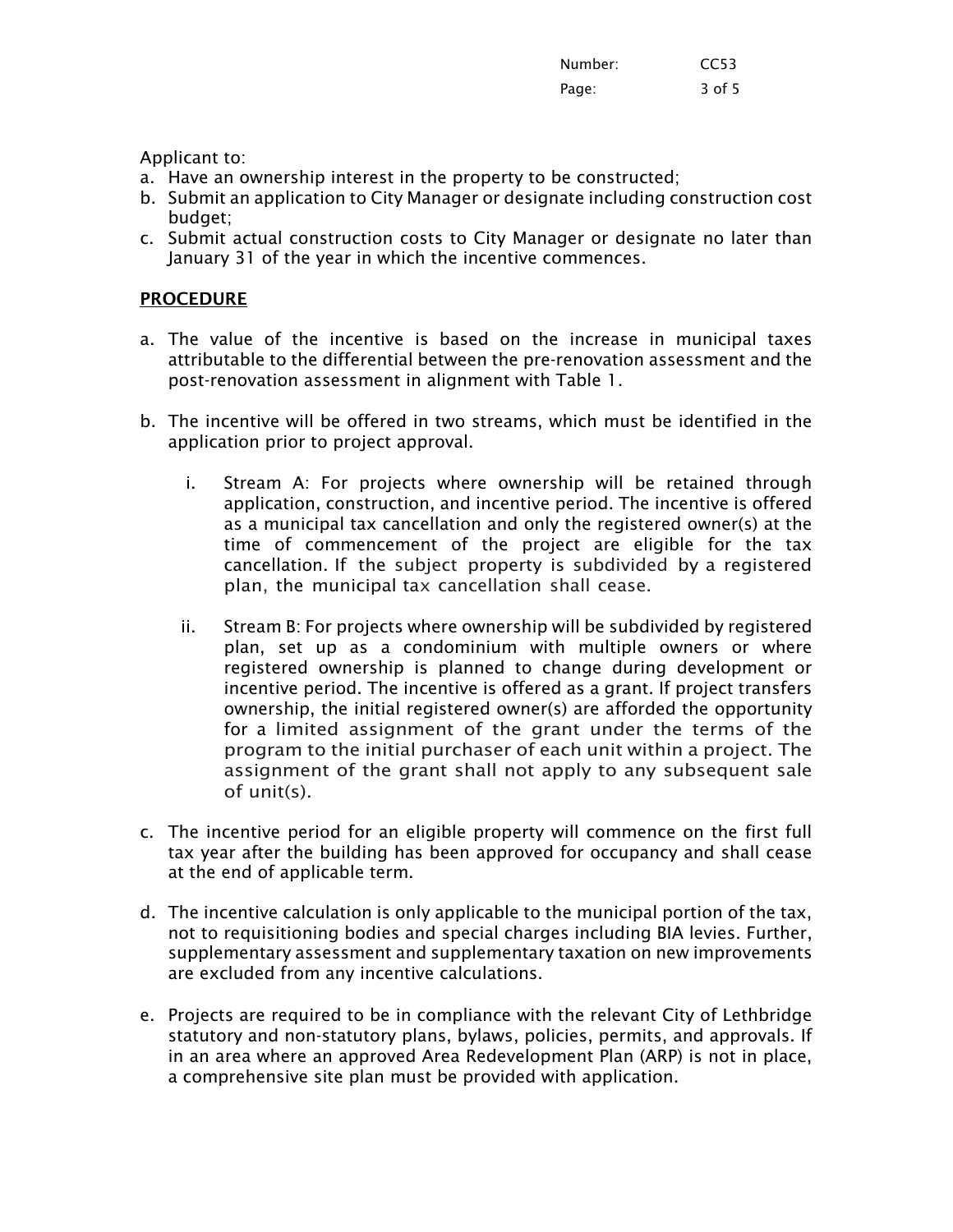| Number: | CC53   |
|---------|--------|
| Page:   | 3 of 5 |

Applicant to:

- a. Have an ownership interest in the property to be constructed;
- b. Submit an application to City Manager or designate including construction cost budget;
- c. Submit actual construction costs to City Manager or designate no later than January 31 of the year in which the incentive commences.

# **PROCEDURE**

- a. The value of the incentive is based on the increase in municipal taxes attributable to the differential between the pre-renovation assessment and the post-renovation assessment in alignment with Table 1.
- b. The incentive will be offered in two streams, which must be identified in the application prior to project approval.
	- i. Stream A: For projects where ownership will be retained through application, construction, and incentive period. The incentive is offered as a municipal tax cancellation and only the registered owner(s) at the time of commencement of the project are eligible for the tax cancellation. If the subject property is subdivided by a registered plan, the municipal tax cancellation shall cease.
	- ii. Stream B: For projects where ownership will be subdivided by registered plan, set up as a condominium with multiple owners or where registered ownership is planned to change during development or incentive period. The incentive is offered as a grant. If project transfers ownership, the initial registered owner(s) are afforded the opportunity for a limited assignment of the grant under the terms of the program to the initial purchaser of each unit within a project. The assignment of the grant shall not apply to any subsequent sale of unit(s).
- c. The incentive period for an eligible property will commence on the first full tax year after the building has been approved for occupancy and shall cease at the end of applicable term.
- d. The incentive calculation is only applicable to the municipal portion of the tax, not to requisitioning bodies and special charges including BIA levies. Further, supplementary assessment and supplementary taxation on new improvements are excluded from any incentive calculations.
- e. Projects are required to be in compliance with the relevant City of Lethbridge statutory and non-statutory plans, bylaws, policies, permits, and approvals. If in an area where an approved Area Redevelopment Plan (ARP) is not in place, a comprehensive site plan must be provided with application.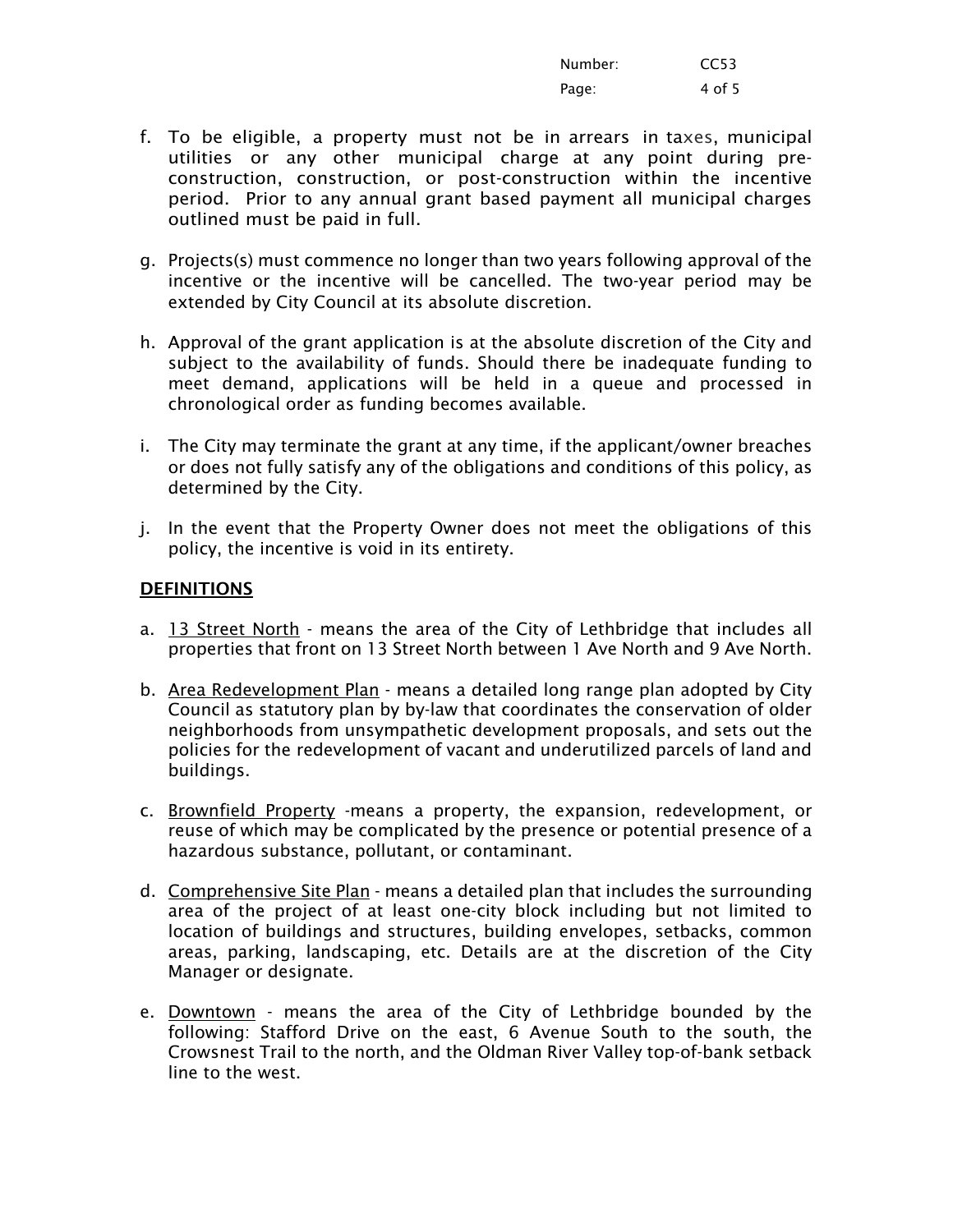| Number: | CC <sub>53</sub> |
|---------|------------------|
| Page:   | 4 of 5           |

- f. To be eligible, a property must not be in arrears in taxes, municipal utilities or any other municipal charge at any point during preconstruction, construction, or post-construction within the incentive period. Prior to any annual grant based payment all municipal charges outlined must be paid in full.
- g. Projects(s) must commence no longer than two years following approval of the incentive or the incentive will be cancelled. The two-year period may be extended by City Council at its absolute discretion.
- h. Approval of the grant application is at the absolute discretion of the City and subject to the availability of funds. Should there be inadequate funding to meet demand, applications will be held in a queue and processed in chronological order as funding becomes available.
- i. The City may terminate the grant at any time, if the applicant/owner breaches or does not fully satisfy any of the obligations and conditions of this policy, as determined by the City.
- j. In the event that the Property Owner does not meet the obligations of this policy, the incentive is void in its entirety.

## DEFINITIONS

- a. 13 Street North means the area of the City of Lethbridge that includes all properties that front on 13 Street North between 1 Ave North and 9 Ave North.
- b. Area Redevelopment Plan means a detailed long range plan adopted by City Council as statutory plan by by-law that coordinates the conservation of older neighborhoods from unsympathetic development proposals, and sets out the policies for the redevelopment of vacant and underutilized parcels of land and buildings.
- c. Brownfield Property -means a property, the expansion, redevelopment, or reuse of which may be complicated by the presence or potential presence of a hazardous substance, pollutant, or contaminant.
- d. Comprehensive Site Plan means a detailed plan that includes the surrounding area of the project of at least one-city block including but not limited to location of buildings and structures, building envelopes, setbacks, common areas, parking, landscaping, etc. Details are at the discretion of the City Manager or designate.
- e. Downtown means the area of the City of Lethbridge bounded by the following: Stafford Drive on the east, 6 Avenue South to the south, the Crowsnest Trail to the north, and the Oldman River Valley top-of-bank setback line to the west.